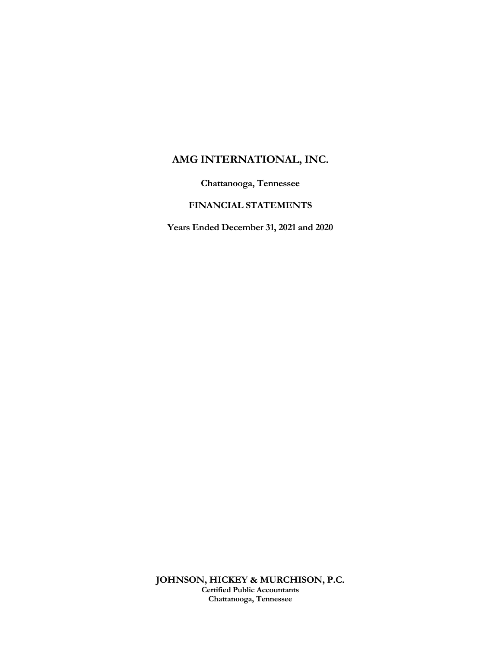## **AMG INTERNATIONAL, INC.**

**Chattanooga, Tennessee** 

### **FINANCIAL STATEMENTS**

**Years Ended December 31, 2021 and 2020**

**JOHNSON, HICKEY & MURCHISON, P.C. Certified Public Accountants Chattanooga, Tennessee**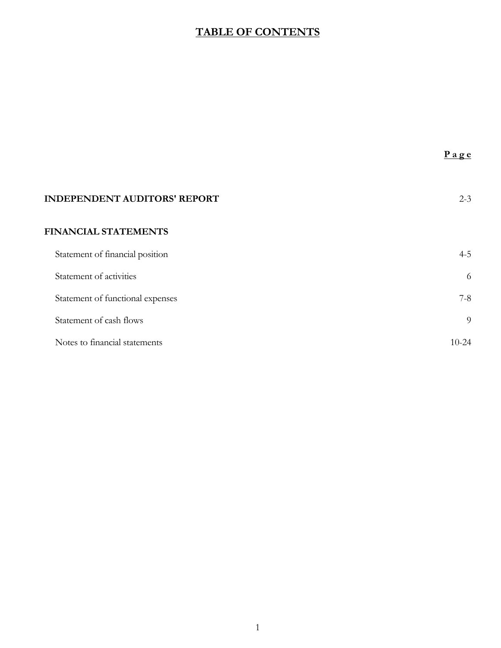## **TABLE OF CONTENTS**

|                                     | $P$ age   |
|-------------------------------------|-----------|
| <b>INDEPENDENT AUDITORS' REPORT</b> | $2 - 3$   |
| <b>FINANCIAL STATEMENTS</b>         |           |
| Statement of financial position     | $4 - 5$   |
| Statement of activities             | 6         |
| Statement of functional expenses    | $7 - 8$   |
| Statement of cash flows             | 9         |
| Notes to financial statements       | $10 - 24$ |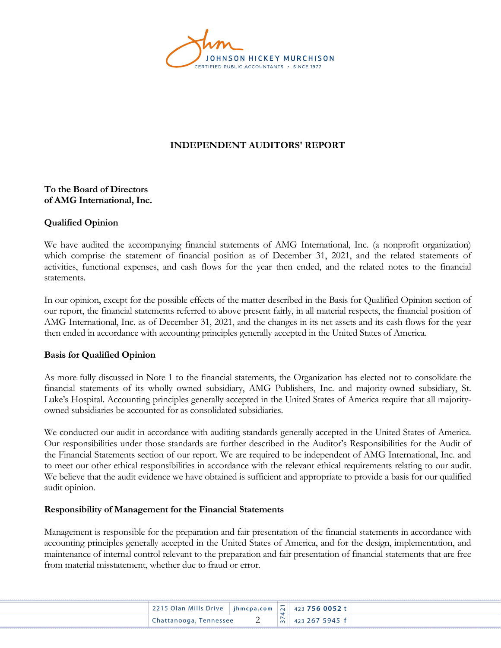

### **INDEPENDENT AUDITORS' REPORT**

### **To the Board of Directors of AMG International, Inc.**

### **Qualified Opinion**

We have audited the accompanying financial statements of AMG International, Inc. (a nonprofit organization) which comprise the statement of financial position as of December 31, 2021, and the related statements of activities, functional expenses, and cash flows for the year then ended, and the related notes to the financial statements.

In our opinion, except for the possible effects of the matter described in the Basis for Qualified Opinion section of our report, the financial statements referred to above present fairly, in all material respects, the financial position of AMG International, Inc. as of December 31, 2021, and the changes in its net assets and its cash flows for the year then ended in accordance with accounting principles generally accepted in the United States of America.

### **Basis for Qualified Opinion**

As more fully discussed in Note 1 to the financial statements, the Organization has elected not to consolidate the financial statements of its wholly owned subsidiary, AMG Publishers, Inc. and majority-owned subsidiary, St. Luke's Hospital. Accounting principles generally accepted in the United States of America require that all majorityowned subsidiaries be accounted for as consolidated subsidiaries.

We conducted our audit in accordance with auditing standards generally accepted in the United States of America. Our responsibilities under those standards are further described in the Auditor's Responsibilities for the Audit of the Financial Statements section of our report. We are required to be independent of AMG International, Inc. and to meet our other ethical responsibilities in accordance with the relevant ethical requirements relating to our audit. We believe that the audit evidence we have obtained is sufficient and appropriate to provide a basis for our qualified audit opinion.

### **Responsibility of Management for the Financial Statements**

Management is responsible for the preparation and fair presentation of the financial statements in accordance with accounting principles generally accepted in the United States of America, and for the design, implementation, and maintenance of internal control relevant to the preparation and fair presentation of financial statements that are free from material misstatement, whether due to fraud or error.

| . | 2215 Olan Mills Drive   jhmcpa.com $\ \bar{x}\ $ 423 756 0052 t |  |                    |  |
|---|-----------------------------------------------------------------|--|--------------------|--|
|   | Chattanooga, Tennessee                                          |  | $423, 267, 5945$ f |  |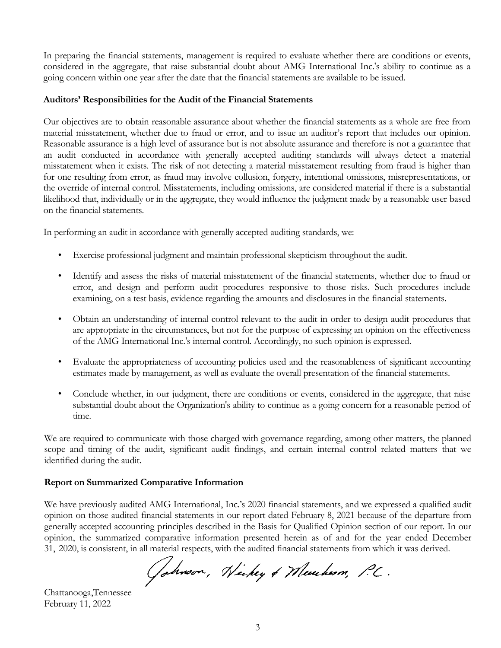In preparing the financial statements, management is required to evaluate whether there are conditions or events, considered in the aggregate, that raise substantial doubt about AMG International Inc.'s ability to continue as a going concern within one year after the date that the financial statements are available to be issued.

### **Auditors' Responsibilities for the Audit of the Financial Statements**

Our objectives are to obtain reasonable assurance about whether the financial statements as a whole are free from material misstatement, whether due to fraud or error, and to issue an auditor's report that includes our opinion. Reasonable assurance is a high level of assurance but is not absolute assurance and therefore is not a guarantee that an audit conducted in accordance with generally accepted auditing standards will always detect a material misstatement when it exists. The risk of not detecting a material misstatement resulting from fraud is higher than for one resulting from error, as fraud may involve collusion, forgery, intentional omissions, misrepresentations, or the override of internal control. Misstatements, including omissions, are considered material if there is a substantial likelihood that, individually or in the aggregate, they would influence the judgment made by a reasonable user based on the financial statements.

In performing an audit in accordance with generally accepted auditing standards, we:

- Exercise professional judgment and maintain professional skepticism throughout the audit.
- Identify and assess the risks of material misstatement of the financial statements, whether due to fraud or error, and design and perform audit procedures responsive to those risks. Such procedures include examining, on a test basis, evidence regarding the amounts and disclosures in the financial statements.
- Obtain an understanding of internal control relevant to the audit in order to design audit procedures that are appropriate in the circumstances, but not for the purpose of expressing an opinion on the effectiveness of the AMG International Inc.'s internal control. Accordingly, no such opinion is expressed.
- Evaluate the appropriateness of accounting policies used and the reasonableness of significant accounting estimates made by management, as well as evaluate the overall presentation of the financial statements.
- Conclude whether, in our judgment, there are conditions or events, considered in the aggregate, that raise substantial doubt about the Organization's ability to continue as a going concern for a reasonable period of time.

We are required to communicate with those charged with governance regarding, among other matters, the planned scope and timing of the audit, significant audit findings, and certain internal control related matters that we identified during the audit.

### **Report on Summarized Comparative Information**

We have previously audited AMG International, Inc.'s 2020 financial statements, and we expressed a qualified audit opinion on those audited financial statements in our report dated February 8, 2021 because of the departure from generally accepted accounting principles described in the Basis for Qualified Opinion section of our report. In our opinion, the summarized comparative information presented herein as of and for the year ended December 31, 2020, is consistent, in all material respects, with the audited financial statements from which it was derived.

Godnoon, Nickey & Meucham, P.C.

Chattanooga,Tennessee February 11, 2022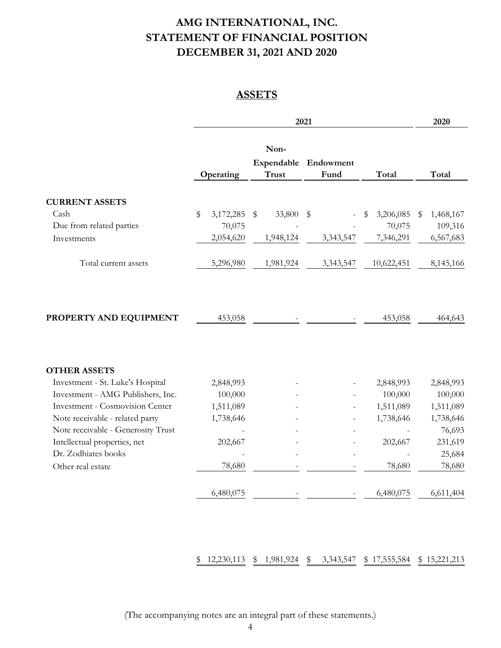## **AMG INTERNATIONAL, INC. STATEMENT OF FINANCIAL POSITION DECEMBER 31, 2021 AND 2020**

### **ASSETS**

| Non-<br><b>Trust</b><br>\$<br>33,800<br>1,948,124<br>1,981,924 | Expendable Endowment<br>Fund<br>\$<br>3,343,547<br>3,343,547 | Total<br>3,206,085<br>S<br>70,075<br>7,346,291<br>10,622,451 | Total<br>1,468,167<br>\$<br>109,316<br>6,567,683<br>8,145,166 |
|----------------------------------------------------------------|--------------------------------------------------------------|--------------------------------------------------------------|---------------------------------------------------------------|
|                                                                |                                                              |                                                              |                                                               |
|                                                                |                                                              |                                                              |                                                               |
|                                                                |                                                              |                                                              |                                                               |
|                                                                |                                                              |                                                              |                                                               |
|                                                                |                                                              |                                                              |                                                               |
|                                                                |                                                              |                                                              |                                                               |
|                                                                |                                                              |                                                              |                                                               |
|                                                                |                                                              | 453,058                                                      | 464,643                                                       |
|                                                                |                                                              |                                                              |                                                               |
|                                                                |                                                              | 2,848,993                                                    | 2,848,993                                                     |
|                                                                |                                                              | 100,000                                                      | 100,000                                                       |
|                                                                |                                                              | 1,511,089                                                    | 1,511,089                                                     |
|                                                                |                                                              | 1,738,646                                                    | 1,738,646                                                     |
|                                                                |                                                              |                                                              | 76,693                                                        |
|                                                                |                                                              | 202,667                                                      | 231,619                                                       |
|                                                                |                                                              |                                                              | 25,684                                                        |
|                                                                |                                                              | 78,680                                                       | 78,680                                                        |
|                                                                |                                                              | 6,480,075                                                    | 6,611,404                                                     |
|                                                                |                                                              |                                                              |                                                               |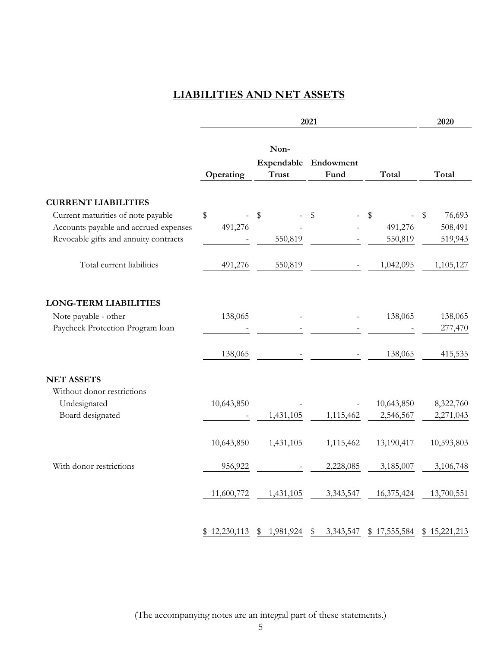## **LIABILITIES AND NET ASSETS**

|                                                                                                                      | 2021             |                                    |                              |                          |                                    |  |  |  |  |
|----------------------------------------------------------------------------------------------------------------------|------------------|------------------------------------|------------------------------|--------------------------|------------------------------------|--|--|--|--|
|                                                                                                                      | Operating        | Non-<br><b>Trust</b>               | Expendable Endowment<br>Fund | Total                    | Total                              |  |  |  |  |
| <b>CURRENT LIABILITIES</b>                                                                                           |                  |                                    |                              |                          |                                    |  |  |  |  |
| Current maturities of note payable<br>Accounts payable and accrued expenses<br>Revocable gifts and annuity contracts | \$<br>491,276    | $\sqrt[6]{\frac{1}{2}}$<br>550,819 | \$                           | \$<br>491,276<br>550,819 | 76,693<br>\$<br>508,491<br>519,943 |  |  |  |  |
| Total current liabilities                                                                                            | 491,276          | 550,819                            |                              | 1,042,095                | 1,105,127                          |  |  |  |  |
| <b>LONG-TERM LIABILITIES</b>                                                                                         |                  |                                    |                              |                          |                                    |  |  |  |  |
| Note payable - other<br>Paycheck Protection Program loan                                                             | 138,065          |                                    |                              | 138,065                  | 138,065<br>277,470                 |  |  |  |  |
|                                                                                                                      | 138,065          |                                    |                              | 138,065                  | 415,535                            |  |  |  |  |
| <b>NET ASSETS</b>                                                                                                    |                  |                                    |                              |                          |                                    |  |  |  |  |
| Without donor restrictions<br>Undesignated<br>Board designated                                                       | 10,643,850       | 1,431,105                          | 1,115,462                    | 10,643,850<br>2,546,567  | 8,322,760<br>2,271,043             |  |  |  |  |
|                                                                                                                      | 10,643,850       | 1,431,105                          | 1,115,462                    | 13,190,417               | 10,593,803                         |  |  |  |  |
| With donor restrictions                                                                                              | 956,922          |                                    | 2,228,085                    | 3,185,007                | 3,106,748                          |  |  |  |  |
|                                                                                                                      | 11,600,772       | 1,431,105                          | 3,343,547                    | 16,375,424               | 13,700,551                         |  |  |  |  |
|                                                                                                                      | 12,230,113<br>\$ | 1,981,924<br>\$                    | 3,343,547<br>Ş               | \$17,555,584             | \$15,221,213                       |  |  |  |  |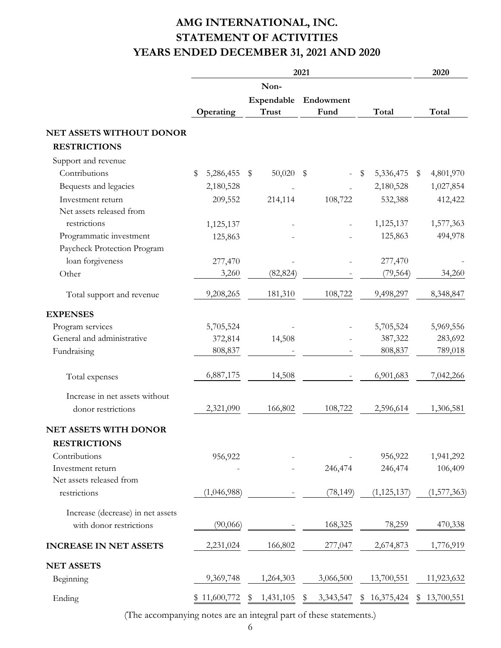## **AMG INTERNATIONAL, INC. STATEMENT OF ACTIVITIES YEARS ENDED DECEMBER 31, 2021 AND 2020**

|                                   |                |              | 2021        |                 | 2020            |
|-----------------------------------|----------------|--------------|-------------|-----------------|-----------------|
|                                   |                | Non-         |             |                 |                 |
|                                   |                | Expendable   | Endowment   |                 |                 |
|                                   | Operating      | <b>Trust</b> | Fund        | Total           | Total           |
| NET ASSETS WITHOUT DONOR          |                |              |             |                 |                 |
| <b>RESTRICTIONS</b>               |                |              |             |                 |                 |
| Support and revenue               |                |              |             |                 |                 |
| Contributions                     | 5,286,455<br>S | 50,020<br>\$ | \$          | 5,336,475<br>\$ | 4,801,970<br>\$ |
| Bequests and legacies             | 2,180,528      |              |             | 2,180,528       | 1,027,854       |
| Investment return                 | 209,552        | 214,114      | 108,722     | 532,388         | 412,422         |
| Net assets released from          |                |              |             |                 |                 |
| restrictions                      | 1,125,137      |              |             | 1,125,137       | 1,577,363       |
| Programmatic investment           | 125,863        |              |             | 125,863         | 494,978         |
| Paycheck Protection Program       |                |              |             |                 |                 |
| loan forgiveness                  | 277,470        |              |             | 277,470         |                 |
| Other                             | 3,260          | (82, 824)    |             | (79, 564)       | 34,260          |
| Total support and revenue         | 9,208,265      | 181,310      | 108,722     | 9,498,297       | 8,348,847       |
| <b>EXPENSES</b>                   |                |              |             |                 |                 |
| Program services                  | 5,705,524      |              |             | 5,705,524       | 5,969,556       |
| General and administrative        | 372,814        | 14,508       |             | 387,322         | 283,692         |
| Fundraising                       | 808,837        |              |             | 808,837         | 789,018         |
|                                   |                |              |             |                 |                 |
| Total expenses                    | 6,887,175      | 14,508       |             | 6,901,683       | 7,042,266       |
| Increase in net assets without    |                |              |             |                 |                 |
| donor restrictions                | 2,321,090      | 166,802      | 108,722     | 2,596,614       | 1,306,581       |
| NET ASSETS WITH DONOR             |                |              |             |                 |                 |
| <b>RESTRICTIONS</b>               |                |              |             |                 |                 |
| Contributions                     | 956,922        |              |             | 956,922         | 1,941,292       |
| Investment return                 |                |              | 246,474     | 246,474         | 106,409         |
| Net assets released from          |                |              |             |                 |                 |
| restrictions                      | (1,046,988)    |              | (78, 149)   | (1, 125, 137)   | (1,577,363)     |
| Increase (decrease) in net assets |                |              |             |                 |                 |
| with donor restrictions           | (90,066)       |              | 168,325     | 78,259          | 470,338         |
| <b>INCREASE IN NET ASSETS</b>     | 2,231,024      | 166,802      | 277,047     | 2,674,873       | 1,776,919       |
| <b>NET ASSETS</b>                 |                |              |             |                 |                 |
| Beginning                         | 9,369,748      | 1,264,303    | 3,066,500   | 13,700,551      | 11,923,632      |
| Ending                            | \$11,600,772   | 1,431,105    | 3, 343, 547 | 16,375,424      | 13,700,551      |
|                                   |                |              |             |                 |                 |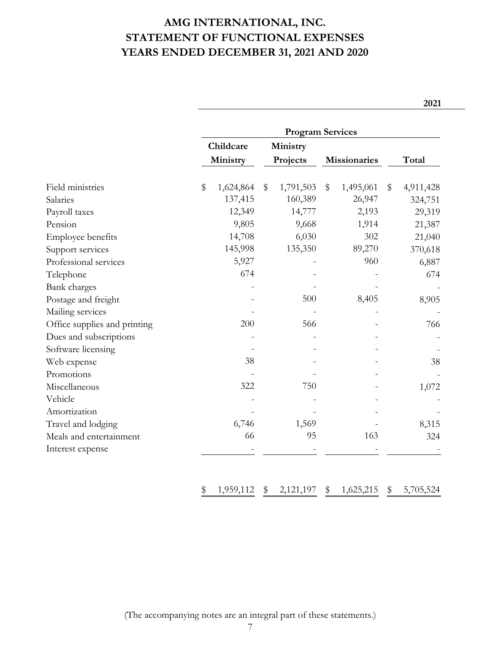## **AMG INTERNATIONAL, INC. STATEMENT OF FUNCTIONAL EXPENSES YEARS ENDED DECEMBER 31, 2021 AND 2020**

**2021**

|                              |                 | <b>Program Services</b> |                     |                 |
|------------------------------|-----------------|-------------------------|---------------------|-----------------|
|                              | Childcare       | Ministry                |                     |                 |
|                              | Ministry        | Projects                | <b>Missionaries</b> | Total           |
| Field ministries             | \$<br>1,624,864 | \$<br>1,791,503         | \$<br>1,495,061     | \$<br>4,911,428 |
| Salaries                     | 137,415         | 160,389                 | 26,947              | 324,751         |
| Payroll taxes                | 12,349          | 14,777                  | 2,193               | 29,319          |
| Pension                      | 9,805           | 9,668                   | 1,914               | 21,387          |
| <b>Employee benefits</b>     | 14,708          | 6,030                   | 302                 | 21,040          |
| Support services             | 145,998         | 135,350                 | 89,270              | 370,618         |
| Professional services        | 5,927           |                         | 960                 | 6,887           |
| Telephone                    | 674             |                         |                     | 674             |
| Bank charges                 |                 |                         |                     |                 |
| Postage and freight          |                 | 500                     | 8,405               | 8,905           |
| Mailing services             |                 |                         |                     |                 |
| Office supplies and printing | 200             | 566                     |                     | 766             |
| Dues and subscriptions       |                 |                         |                     |                 |
| Software licensing           |                 |                         |                     |                 |
| Web expense                  | 38              |                         |                     | 38              |
| Promotions                   |                 |                         |                     |                 |
| Miscellaneous                | 322             | 750                     |                     | 1,072           |
| Vehicle                      |                 |                         |                     |                 |
| Amortization                 |                 |                         |                     |                 |
| Travel and lodging           | 6,746           | 1,569                   |                     | 8,315           |
| Meals and entertainment      | 66              | 95                      | 163                 | 324             |
| Interest expense             |                 |                         |                     |                 |
|                              |                 |                         |                     |                 |
|                              | \$<br>1,959,112 | \$<br>2,121,197         | \$<br>1,625,215     | \$<br>5,705,524 |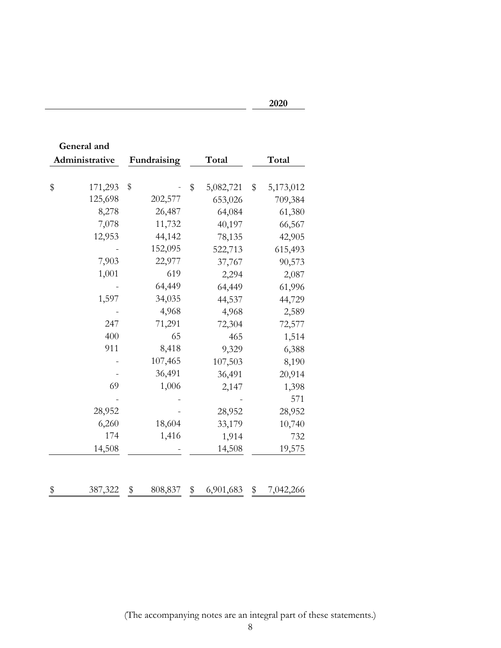| General and    |               |                 |       |           |  |
|----------------|---------------|-----------------|-------|-----------|--|
| Administrative | Fundraising   | Total           | Total |           |  |
|                |               |                 |       |           |  |
| \$<br>171,293  | \$            | \$<br>5,082,721 | \$    | 5,173,012 |  |
| 125,698        | 202,577       | 653,026         |       | 709,384   |  |
| 8,278          | 26,487        | 64,084          |       | 61,380    |  |
| 7,078          | 11,732        | 40,197          |       | 66,567    |  |
| 12,953         | 44,142        | 78,135          |       | 42,905    |  |
|                | 152,095       | 522,713         |       | 615,493   |  |
| 7,903          | 22,977        | 37,767          |       | 90,573    |  |
| 1,001          | 619           | 2,294           |       | 2,087     |  |
|                | 64,449        | 64,449          |       | 61,996    |  |
| 1,597          | 34,035        | 44,537          |       | 44,729    |  |
|                | 4,968         | 4,968           |       | 2,589     |  |
| 247            | 71,291        | 72,304          |       | 72,577    |  |
| 400            | 65            | 465             |       | 1,514     |  |
| 911            | 8,418         | 9,329           |       | 6,388     |  |
|                | 107,465       | 107,503         |       | 8,190     |  |
|                | 36,491        | 36,491          |       | 20,914    |  |
| 69             | 1,006         | 2,147           |       | 1,398     |  |
|                |               |                 |       | 571       |  |
| 28,952         |               | 28,952          |       | 28,952    |  |
| 6,260          | 18,604        | 33,179          |       | 10,740    |  |
| 174            | 1,416         | 1,914           |       | 732       |  |
| 14,508         |               | 14,508          |       | 19,575    |  |
|                |               |                 |       |           |  |
| \$<br>387,322  | \$<br>808,837 | \$<br>6,901,683 | \$    | 7,042,266 |  |

**2020**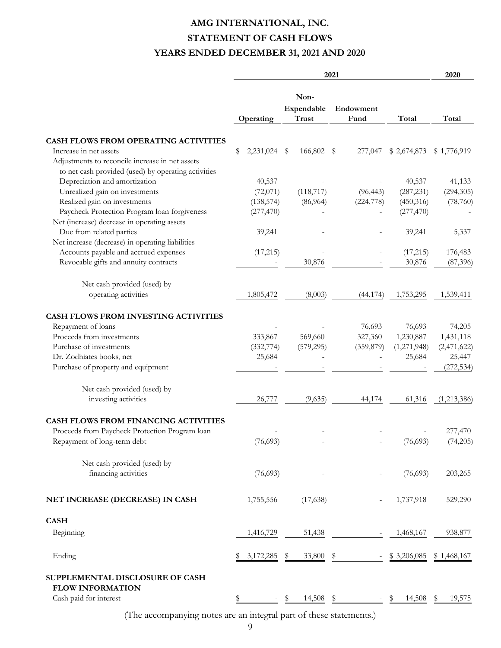## **AMG INTERNATIONAL, INC. STATEMENT OF CASH FLOWS YEARS ENDED DECEMBER 31, 2021 AND 2020**

|                                                     |           |                |              | 2021 |            |              | 2020          |
|-----------------------------------------------------|-----------|----------------|--------------|------|------------|--------------|---------------|
|                                                     |           |                | Non-         |      |            |              |               |
|                                                     |           |                | Expendable   |      | Endowment  |              |               |
|                                                     | Operating |                | Trust        |      | Fund       | Total        | Total         |
| CASH FLOWS FROM OPERATING ACTIVITIES                |           |                |              |      |            |              |               |
| Increase in net assets                              | \$        | $2,231,024$ \$ | 166,802 \$   |      | 277,047    | \$2,674,873  | \$1,776,919   |
| Adjustments to reconcile increase in net assets     |           |                |              |      |            |              |               |
| to net cash provided (used) by operating activities |           |                |              |      |            |              |               |
| Depreciation and amortization                       |           | 40,537         |              |      |            | 40,537       | 41,133        |
| Unrealized gain on investments                      |           | (72,071)       | (118, 717)   |      | (96, 443)  | (287, 231)   | (294, 305)    |
| Realized gain on investments                        |           | (138, 574)     | (86,964)     |      | (224, 778) | (450, 316)   | (78, 760)     |
| Paycheck Protection Program loan forgiveness        |           | (277, 470)     |              |      |            | (277, 470)   |               |
| Net (increase) decrease in operating assets         |           |                |              |      |            |              |               |
| Due from related parties                            |           | 39,241         |              |      |            | 39,241       | 5,337         |
| Net increase (decrease) in operating liabilities    |           |                |              |      |            |              |               |
| Accounts payable and accrued expenses               |           | (17, 215)      |              |      |            | (17, 215)    | 176,483       |
| Revocable gifts and annuity contracts               |           |                | 30,876       |      |            | 30,876       | (87, 396)     |
|                                                     |           |                |              |      |            |              |               |
| Net cash provided (used) by                         |           |                |              |      |            |              |               |
| operating activities                                |           | 1,805,472      | (8,003)      |      | (44, 174)  | 1,753,295    | 1,539,411     |
| CASH FLOWS FROM INVESTING ACTIVITIES                |           |                |              |      |            |              |               |
| Repayment of loans                                  |           |                |              |      | 76,693     | 76,693       | 74,205        |
| Proceeds from investments                           |           | 333,867        | 569,660      |      | 327,360    | 1,230,887    | 1,431,118     |
| Purchase of investments                             |           | (332, 774)     | (579, 295)   |      | (359, 879) | (1,271,948)  | (2,471,622)   |
| Dr. Zodhiates books, net                            |           | 25,684         |              |      |            | 25,684       | 25,447        |
| Purchase of property and equipment                  |           |                |              |      |            |              | (272, 534)    |
|                                                     |           |                |              |      |            |              |               |
| Net cash provided (used) by                         |           |                |              |      |            |              |               |
| investing activities                                |           | 26,777         | (9,635)      |      | 44,174     | 61,316       | (1, 213, 386) |
| <b>CASH FLOWS FROM FINANCING ACTIVITIES</b>         |           |                |              |      |            |              |               |
| Proceeds from Paycheck Protection Program loan      |           |                |              |      |            |              | 277,470       |
| Repayment of long-term debt                         |           | (76, 693)      |              |      |            | (76, 693)    | (74,205)      |
|                                                     |           |                |              |      |            |              |               |
| Net cash provided (used) by                         |           |                |              |      |            |              |               |
| financing activities                                |           | (76,693)       |              |      |            | (76,693)     | 203,265       |
| NET INCREASE (DECREASE) IN CASH                     |           | 1,755,556      | (17, 638)    |      |            | 1,737,918    | 529,290       |
|                                                     |           |                |              |      |            |              |               |
| <b>CASH</b>                                         |           |                |              |      |            |              |               |
| Beginning                                           |           | 1,416,729      | 51,438       |      |            | 1,468,167    | 938,877       |
| Ending                                              |           | 3,172,285      | \$<br>33,800 | \$   |            | \$3,206,085  | \$1,468,167   |
| SUPPLEMENTAL DISCLOSURE OF CASH                     |           |                |              |      |            |              |               |
| <b>FLOW INFORMATION</b>                             |           |                |              |      |            |              |               |
| Cash paid for interest                              |           |                | \$<br>14,508 | \$   |            | 14,508<br>\$ | 19,575<br>\$  |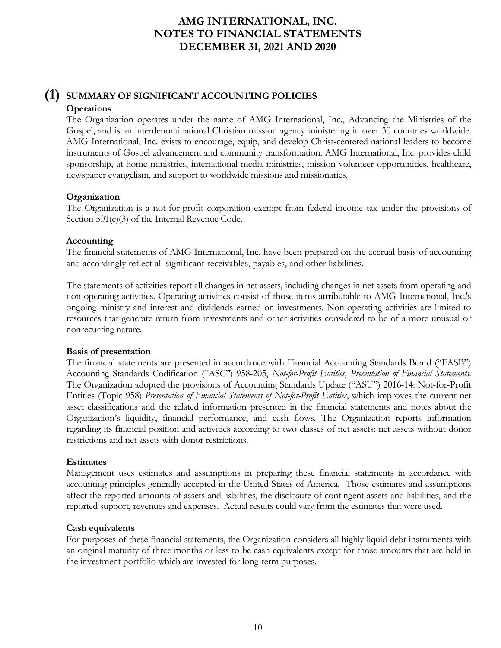### **(1) SUMMARY OF SIGNIFICANT ACCOUNTING POLICIES Operations**

The Organization operates under the name of AMG International, Inc., Advancing the Ministries of the Gospel, and is an interdenominational Christian mission agency ministering in over 30 countries worldwide. AMG International, Inc. exists to encourage, equip, and develop Christ-centered national leaders to become instruments of Gospel advancement and community transformation. AMG International, Inc. provides child sponsorship, at-home ministries, international media ministries, mission volunteer opportunities, healthcare, newspaper evangelism, and support to worldwide missions and missionaries.

### **Organization**

The Organization is a not-for-profit corporation exempt from federal income tax under the provisions of Section 501(c)(3) of the Internal Revenue Code.

### **Accounting**

The financial statements of AMG International, Inc. have been prepared on the accrual basis of accounting and accordingly reflect all significant receivables, payables, and other liabilities.

The statements of activities report all changes in net assets, including changes in net assets from operating and non-operating activities. Operating activities consist of those items attributable to AMG International, Inc.'s ongoing ministry and interest and dividends earned on investments. Non-operating activities are limited to resources that generate return from investments and other activities considered to be of a more unusual or nonrecurring nature.

### **Basis of presentation**

The financial statements are presented in accordance with Financial Accounting Standards Board ("FASB") Accounting Standards Codification ("ASC") 958-205, *Not-for-Profit Entities, Presentation of Financial Statements*. The Organization adopted the provisions of Accounting Standards Update ("ASU") 2016-14: Not-for-Profit Entities (Topic 958) *Presentation of Financial Statements of Not-for-Profit Entities*, which improves the current net asset classifications and the related information presented in the financial statements and notes about the Organization's liquidity, financial performance, and cash flows. The Organization reports information regarding its financial position and activities according to two classes of net assets: net assets without donor restrictions and net assets with donor restrictions.

### **Estimates**

Management uses estimates and assumptions in preparing these financial statements in accordance with accounting principles generally accepted in the United States of America. Those estimates and assumptions affect the reported amounts of assets and liabilities, the disclosure of contingent assets and liabilities, and the reported support, revenues and expenses. Actual results could vary from the estimates that were used.

### **Cash equivalents**

For purposes of these financial statements, the Organization considers all highly liquid debt instruments with an original maturity of three months or less to be cash equivalents except for those amounts that are held in the investment portfolio which are invested for long-term purposes.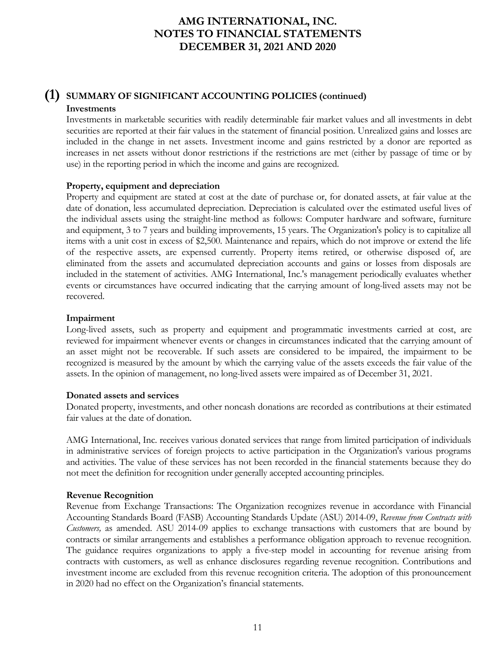## **(1) SUMMARY OF SIGNIFICANT ACCOUNTING POLICIES (continued) Investments**

Investments in marketable securities with readily determinable fair market values and all investments in debt securities are reported at their fair values in the statement of financial position. Unrealized gains and losses are included in the change in net assets. Investment income and gains restricted by a donor are reported as increases in net assets without donor restrictions if the restrictions are met (either by passage of time or by use) in the reporting period in which the income and gains are recognized.

### **Property, equipment and depreciation**

Property and equipment are stated at cost at the date of purchase or, for donated assets, at fair value at the date of donation, less accumulated depreciation. Depreciation is calculated over the estimated useful lives of the individual assets using the straight-line method as follows: Computer hardware and software, furniture and equipment, 3 to 7 years and building improvements, 15 years. The Organization's policy is to capitalize all items with a unit cost in excess of \$2,500. Maintenance and repairs, which do not improve or extend the life of the respective assets, are expensed currently. Property items retired, or otherwise disposed of, are eliminated from the assets and accumulated depreciation accounts and gains or losses from disposals are included in the statement of activities. AMG International, Inc.'s management periodically evaluates whether events or circumstances have occurred indicating that the carrying amount of long-lived assets may not be recovered.

### **Impairment**

Long-lived assets, such as property and equipment and programmatic investments carried at cost, are reviewed for impairment whenever events or changes in circumstances indicated that the carrying amount of an asset might not be recoverable. If such assets are considered to be impaired, the impairment to be recognized is measured by the amount by which the carrying value of the assets exceeds the fair value of the assets. In the opinion of management, no long-lived assets were impaired as of December 31, 2021.

### **Donated assets and services**

Donated property, investments, and other noncash donations are recorded as contributions at their estimated fair values at the date of donation.

AMG International, Inc. receives various donated services that range from limited participation of individuals in administrative services of foreign projects to active participation in the Organization's various programs and activities. The value of these services has not been recorded in the financial statements because they do not meet the definition for recognition under generally accepted accounting principles.

### **Revenue Recognition**

Revenue from Exchange Transactions: The Organization recognizes revenue in accordance with Financial Accounting Standards Board (FASB) Accounting Standards Update (ASU) 2014-09, *Revenue from Contracts with Customers,* as amended. ASU 2014-09 applies to exchange transactions with customers that are bound by contracts or similar arrangements and establishes a performance obligation approach to revenue recognition. The guidance requires organizations to apply a five-step model in accounting for revenue arising from contracts with customers, as well as enhance disclosures regarding revenue recognition. Contributions and investment income are excluded from this revenue recognition criteria. The adoption of this pronouncement in 2020 had no effect on the Organization's financial statements.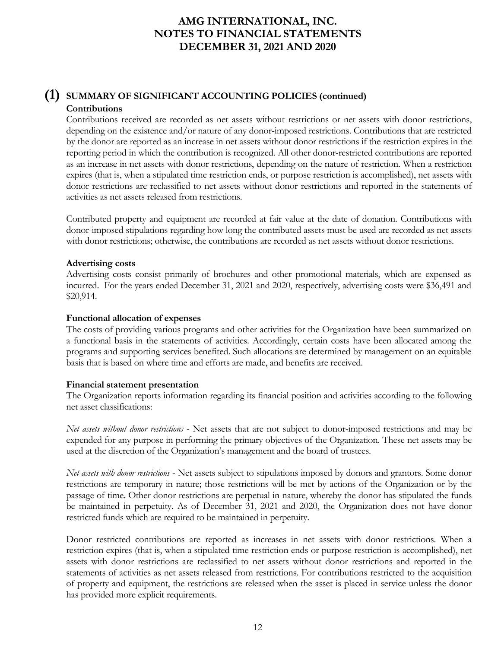## **(1) SUMMARY OF SIGNIFICANT ACCOUNTING POLICIES (continued) Contributions**

Contributions received are recorded as net assets without restrictions or net assets with donor restrictions, depending on the existence and/or nature of any donor-imposed restrictions. Contributions that are restricted by the donor are reported as an increase in net assets without donor restrictions if the restriction expires in the reporting period in which the contribution is recognized. All other donor-restricted contributions are reported as an increase in net assets with donor restrictions, depending on the nature of restriction. When a restriction expires (that is, when a stipulated time restriction ends, or purpose restriction is accomplished), net assets with donor restrictions are reclassified to net assets without donor restrictions and reported in the statements of activities as net assets released from restrictions.

Contributed property and equipment are recorded at fair value at the date of donation. Contributions with donor-imposed stipulations regarding how long the contributed assets must be used are recorded as net assets with donor restrictions; otherwise, the contributions are recorded as net assets without donor restrictions.

### **Advertising costs**

Advertising costs consist primarily of brochures and other promotional materials, which are expensed as incurred. For the years ended December 31, 2021 and 2020, respectively, advertising costs were \$36,491 and \$20,914.

### **Functional allocation of expenses**

The costs of providing various programs and other activities for the Organization have been summarized on a functional basis in the statements of activities. Accordingly, certain costs have been allocated among the programs and supporting services benefited. Such allocations are determined by management on an equitable basis that is based on where time and efforts are made, and benefits are received.

### **Financial statement presentation**

The Organization reports information regarding its financial position and activities according to the following net asset classifications:

*Net assets without donor restrictions* - Net assets that are not subject to donor-imposed restrictions and may be expended for any purpose in performing the primary objectives of the Organization. These net assets may be used at the discretion of the Organization's management and the board of trustees.

*Net assets with donor restrictions* - Net assets subject to stipulations imposed by donors and grantors. Some donor restrictions are temporary in nature; those restrictions will be met by actions of the Organization or by the passage of time. Other donor restrictions are perpetual in nature, whereby the donor has stipulated the funds be maintained in perpetuity. As of December 31, 2021 and 2020, the Organization does not have donor restricted funds which are required to be maintained in perpetuity.

Donor restricted contributions are reported as increases in net assets with donor restrictions. When a restriction expires (that is, when a stipulated time restriction ends or purpose restriction is accomplished), net assets with donor restrictions are reclassified to net assets without donor restrictions and reported in the statements of activities as net assets released from restrictions. For contributions restricted to the acquisition of property and equipment, the restrictions are released when the asset is placed in service unless the donor has provided more explicit requirements.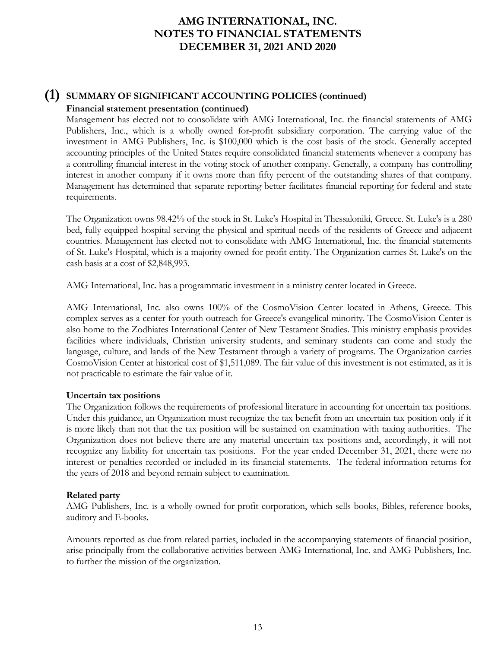## **(1) SUMMARY OF SIGNIFICANT ACCOUNTING POLICIES (continued) Financial statement presentation (continued)**

Management has elected not to consolidate with AMG International, Inc. the financial statements of AMG Publishers, Inc., which is a wholly owned for-profit subsidiary corporation. The carrying value of the investment in AMG Publishers, Inc. is \$100,000 which is the cost basis of the stock. Generally accepted accounting principles of the United States require consolidated financial statements whenever a company has a controlling financial interest in the voting stock of another company. Generally, a company has controlling interest in another company if it owns more than fifty percent of the outstanding shares of that company. Management has determined that separate reporting better facilitates financial reporting for federal and state requirements.

The Organization owns 98.42% of the stock in St. Luke's Hospital in Thessaloniki, Greece. St. Luke's is a 280 bed, fully equipped hospital serving the physical and spiritual needs of the residents of Greece and adjacent countries. Management has elected not to consolidate with AMG International, Inc. the financial statements of St. Luke's Hospital, which is a majority owned for-profit entity. The Organization carries St. Luke's on the cash basis at a cost of \$2,848,993.

AMG International, Inc. has a programmatic investment in a ministry center located in Greece.

AMG International, Inc. also owns 100% of the CosmoVision Center located in Athens, Greece. This complex serves as a center for youth outreach for Greece's evangelical minority. The CosmoVision Center is also home to the Zodhiates International Center of New Testament Studies. This ministry emphasis provides facilities where individuals, Christian university students, and seminary students can come and study the language, culture, and lands of the New Testament through a variety of programs. The Organization carries CosmoVision Center at historical cost of \$1,511,089. The fair value of this investment is not estimated, as it is not practicable to estimate the fair value of it.

### **Uncertain tax positions**

The Organization follows the requirements of professional literature in accounting for uncertain tax positions. Under this guidance, an Organization must recognize the tax benefit from an uncertain tax position only if it is more likely than not that the tax position will be sustained on examination with taxing authorities. The Organization does not believe there are any material uncertain tax positions and, accordingly, it will not recognize any liability for uncertain tax positions. For the year ended December 31, 2021, there were no interest or penalties recorded or included in its financial statements. The federal information returns for the years of 2018 and beyond remain subject to examination.

### **Related party**

AMG Publishers, Inc. is a wholly owned for-profit corporation, which sells books, Bibles, reference books, auditory and E-books.

Amounts reported as due from related parties, included in the accompanying statements of financial position, arise principally from the collaborative activities between AMG International, Inc. and AMG Publishers, Inc. to further the mission of the organization.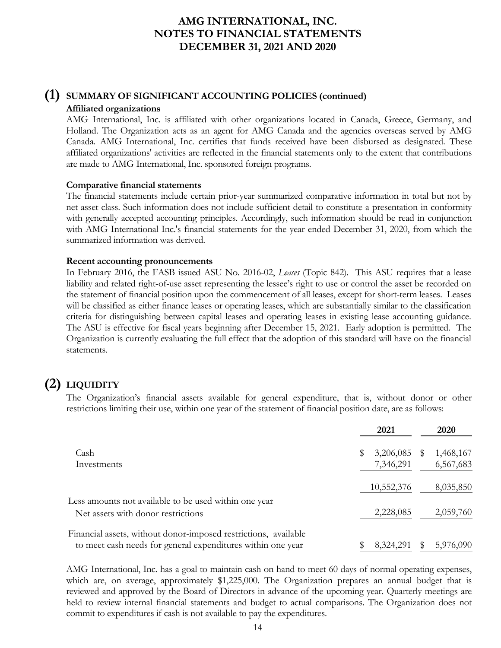### **(1) SUMMARY OF SIGNIFICANT ACCOUNTING POLICIES (continued) Affiliated organizations**

AMG International, Inc. is affiliated with other organizations located in Canada, Greece, Germany, and Holland. The Organization acts as an agent for AMG Canada and the agencies overseas served by AMG Canada. AMG International, Inc. certifies that funds received have been disbursed as designated. These affiliated organizations' activities are reflected in the financial statements only to the extent that contributions are made to AMG International, Inc. sponsored foreign programs.

### **Comparative financial statements**

The financial statements include certain prior-year summarized comparative information in total but not by net asset class. Such information does not include sufficient detail to constitute a presentation in conformity with generally accepted accounting principles. Accordingly, such information should be read in conjunction with AMG International Inc.'s financial statements for the year ended December 31, 2020, from which the summarized information was derived.

### **Recent accounting pronouncements**

In February 2016, the FASB issued ASU No. 2016-02, *Leases* (Topic 842). This ASU requires that a lease liability and related right-of-use asset representing the lessee's right to use or control the asset be recorded on the statement of financial position upon the commencement of all leases, except for short-term leases. Leases will be classified as either finance leases or operating leases, which are substantially similar to the classification criteria for distinguishing between capital leases and operating leases in existing lease accounting guidance. The ASU is effective for fiscal years beginning after December 15, 2021. Early adoption is permitted. The Organization is currently evaluating the full effect that the adoption of this standard will have on the financial statements.

## **(2) LIQUIDITY**

The Organization's financial assets available for general expenditure, that is, without donor or other restrictions limiting their use, within one year of the statement of financial position date, are as follows:

|                                                                                                                                | 2021            | 2020                      |
|--------------------------------------------------------------------------------------------------------------------------------|-----------------|---------------------------|
| Cash                                                                                                                           | 3,206,085<br>\$ | 1,468,167<br>S            |
| Investments                                                                                                                    | 7,346,291       | 6,567,683                 |
|                                                                                                                                | 10,552,376      | 8,035,850                 |
| Less amounts not available to be used within one year<br>Net assets with donor restrictions                                    | 2,228,085       | 2,059,760                 |
| Financial assets, without donor-imposed restrictions, available<br>to meet cash needs for general expenditures within one year | 8,324,291       | 5,976,090<br><sup>S</sup> |

AMG International, Inc. has a goal to maintain cash on hand to meet 60 days of normal operating expenses, which are, on average, approximately \$1,225,000. The Organization prepares an annual budget that is reviewed and approved by the Board of Directors in advance of the upcoming year. Quarterly meetings are held to review internal financial statements and budget to actual comparisons. The Organization does not commit to expenditures if cash is not available to pay the expenditures.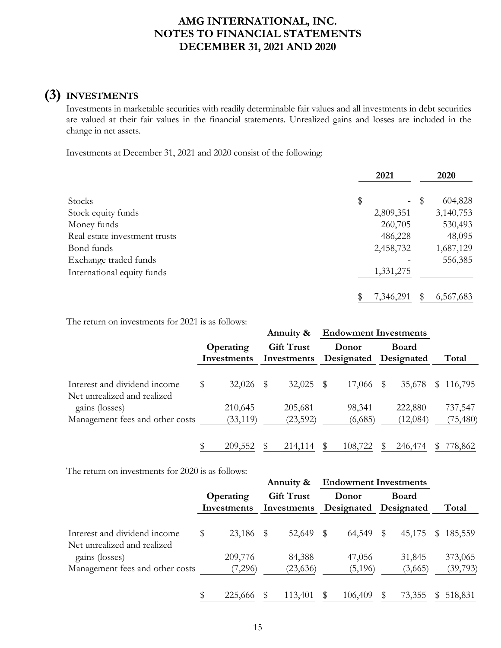## **(3) INVESTMENTS**

Investments in marketable securities with readily determinable fair values and all investments in debt securities are valued at their fair values in the financial statements. Unrealized gains and losses are included in the change in net assets.

Investments at December 31, 2021 and 2020 consist of the following:

|                               | 2021      |                         | 2020      |  |  |
|-------------------------------|-----------|-------------------------|-----------|--|--|
| Stocks                        | \$        | - \$<br>$\frac{1}{2}$ . | 604,828   |  |  |
| Stock equity funds            | 2,809,351 |                         | 3,140,753 |  |  |
| Money funds                   | 260,705   |                         | 530,493   |  |  |
| Real estate investment trusts | 486,228   |                         | 48,095    |  |  |
| Bond funds                    | 2,458,732 |                         | 1,687,129 |  |  |
| Exchange traded funds         |           |                         | 556,385   |  |  |
| International equity funds    | 1,331,275 |                         |           |  |  |
|                               | 7,346,291 |                         | 6,567,683 |  |  |

The return on investments for 2021 is as follows:

|                                               |                   | Annuity &         | <b>Endowment Investments</b> |      |              |           |
|-----------------------------------------------|-------------------|-------------------|------------------------------|------|--------------|-----------|
|                                               | Operating         | <b>Gift Trust</b> | Donor                        |      | <b>Board</b> |           |
|                                               | Investments       | Investments       | Designated                   |      | Designated   | Total     |
| Interest and dividend income                  | \$<br>$32,026$ \$ | $32,025$ \$       | 17,066                       | - \$ | 35,678       | \$116,795 |
| Net unrealized and realized<br>gains (losses) | 210,645           | 205,681           | 98,341                       |      | 222,880      | 737,547   |
| Management fees and other costs               | (33, 119)         | (23,592)          | (6,685)                      |      | (12,084)     | (75, 480) |
|                                               | 209,552           | 214,114           | 108,722                      |      | 246,474      | 778,862   |

The return on investments for 2020 is as follows:

|                                               |                 | Annuity &         |      | <b>Endowment Investments</b> |   |              |              |           |
|-----------------------------------------------|-----------------|-------------------|------|------------------------------|---|--------------|--------------|-----------|
|                                               | Operating       | <b>Gift Trust</b> |      | Donor                        |   | <b>Board</b> |              |           |
|                                               | Investments     | Investments       |      | Designated                   |   | Designated   |              | Total     |
| Interest and dividend income                  | \$<br>23,186 \$ | 52,649            | - \$ | 64,549                       | S | 45,175       | <sup>S</sup> | 185,559   |
| Net unrealized and realized<br>gains (losses) | 209,776         | 84,388            |      | 47,056                       |   | 31,845       |              | 373,065   |
| Management fees and other costs               | (7,296)         | (23, 636)         |      | (5,196)                      |   | (3,665)      |              | (39, 793) |
|                                               | 225,666         | 113,401           |      | 106,409                      |   | 73,355       | S            | 518,831   |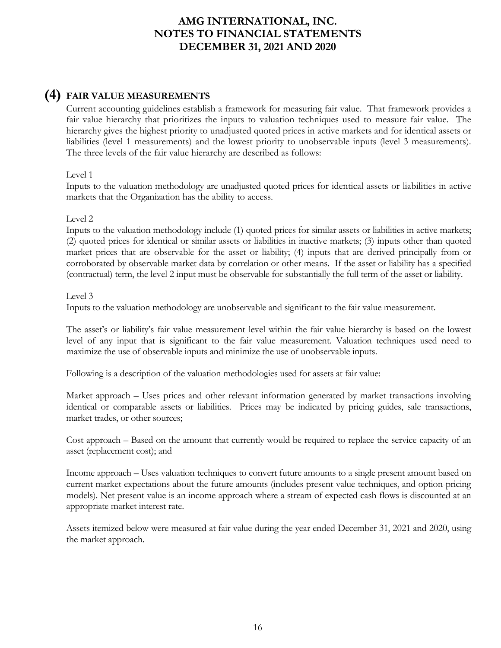## **(4) FAIR VALUE MEASUREMENTS**

Current accounting guidelines establish a framework for measuring fair value. That framework provides a fair value hierarchy that prioritizes the inputs to valuation techniques used to measure fair value. The hierarchy gives the highest priority to unadjusted quoted prices in active markets and for identical assets or liabilities (level 1 measurements) and the lowest priority to unobservable inputs (level 3 measurements). The three levels of the fair value hierarchy are described as follows:

### Level 1

Inputs to the valuation methodology are unadjusted quoted prices for identical assets or liabilities in active markets that the Organization has the ability to access.

### Level 2

Inputs to the valuation methodology include (1) quoted prices for similar assets or liabilities in active markets; (2) quoted prices for identical or similar assets or liabilities in inactive markets; (3) inputs other than quoted market prices that are observable for the asset or liability; (4) inputs that are derived principally from or corroborated by observable market data by correlation or other means. If the asset or liability has a specified (contractual) term, the level 2 input must be observable for substantially the full term of the asset or liability.

### Level 3

Inputs to the valuation methodology are unobservable and significant to the fair value measurement.

The asset's or liability's fair value measurement level within the fair value hierarchy is based on the lowest level of any input that is significant to the fair value measurement. Valuation techniques used need to maximize the use of observable inputs and minimize the use of unobservable inputs.

Following is a description of the valuation methodologies used for assets at fair value:

Market approach – Uses prices and other relevant information generated by market transactions involving identical or comparable assets or liabilities. Prices may be indicated by pricing guides, sale transactions, market trades, or other sources;

Cost approach – Based on the amount that currently would be required to replace the service capacity of an asset (replacement cost); and

Income approach – Uses valuation techniques to convert future amounts to a single present amount based on current market expectations about the future amounts (includes present value techniques, and option-pricing models). Net present value is an income approach where a stream of expected cash flows is discounted at an appropriate market interest rate.

Assets itemized below were measured at fair value during the year ended December 31, 2021 and 2020, using the market approach.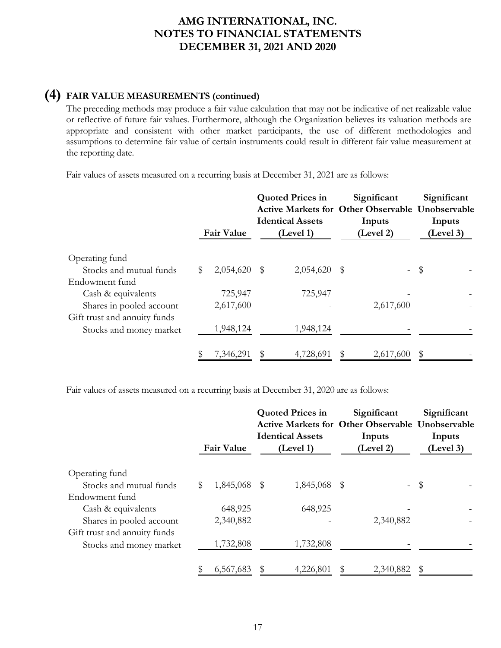## **(4) FAIR VALUE MEASUREMENTS (continued)**

The preceding methods may produce a fair value calculation that may not be indicative of net realizable value or reflective of future fair values. Furthermore, although the Organization believes its valuation methods are appropriate and consistent with other market participants, the use of different methodologies and assumptions to determine fair value of certain instruments could result in different fair value measurement at the reporting date.

Fair values of assets measured on a recurring basis at December 31, 2021 are as follows:

|                              |    | <b>Fair Value</b> |      | <b>Quoted Prices in</b><br><b>Active Markets for Other Observable Unobservable</b><br><b>Identical Assets</b><br>(Level 1) | Significant<br>Inputs<br>(Level 2) | Significant<br>Inputs<br>(Level 3) |
|------------------------------|----|-------------------|------|----------------------------------------------------------------------------------------------------------------------------|------------------------------------|------------------------------------|
| Operating fund               |    |                   |      |                                                                                                                            |                                    |                                    |
| Stocks and mutual funds      | \$ | 2,054,620         | - \$ | 2,054,620                                                                                                                  | \$<br>$\sim$ 10 $\pm$              | $\sqrt[6]{\frac{1}{2}}$            |
| Endowment fund               |    |                   |      |                                                                                                                            |                                    |                                    |
| Cash & equivalents           |    | 725,947           |      | 725,947                                                                                                                    |                                    |                                    |
| Shares in pooled account     |    | 2,617,600         |      |                                                                                                                            | 2,617,600                          |                                    |
| Gift trust and annuity funds |    |                   |      |                                                                                                                            |                                    |                                    |
| Stocks and money market      |    | 1,948,124         |      | 1,948,124                                                                                                                  |                                    |                                    |
|                              | S  | 7,346,291         |      | 4,728,691                                                                                                                  | 2,617,600                          |                                    |

Fair values of assets measured on a recurring basis at December 31, 2020 are as follows:

|                              | <b>Fair Value</b> |     | <b>Quoted Prices in</b><br><b>Active Markets for Other Observable Unobservable</b><br><b>Identical Assets</b><br>(Level 1) |   | Significant<br>Inputs<br>(Level 2) | Significant<br>Inputs<br>(Level 3) |
|------------------------------|-------------------|-----|----------------------------------------------------------------------------------------------------------------------------|---|------------------------------------|------------------------------------|
| Operating fund               |                   |     |                                                                                                                            |   |                                    |                                    |
| Stocks and mutual funds      | \$<br>1,845,068   | - S | 1,845,068                                                                                                                  | S |                                    | $-$ \$                             |
| Endowment fund               |                   |     |                                                                                                                            |   |                                    |                                    |
| Cash & equivalents           | 648,925           |     | 648,925                                                                                                                    |   |                                    |                                    |
| Shares in pooled account     | 2,340,882         |     |                                                                                                                            |   | 2,340,882                          |                                    |
| Gift trust and annuity funds |                   |     |                                                                                                                            |   |                                    |                                    |
| Stocks and money market      | 1,732,808         |     | 1,732,808                                                                                                                  |   |                                    |                                    |
|                              | \$<br>6,567,683   |     | 4,226,801                                                                                                                  |   | 2,340,882                          |                                    |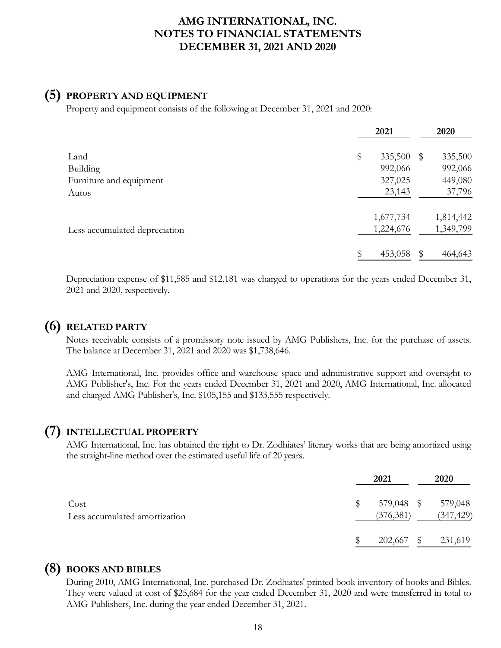## **(5) PROPERTY AND EQUIPMENT**

Property and equipment consists of the following at December 31, 2021 and 2020:

|                               | 2021             | 2020      |
|-------------------------------|------------------|-----------|
| Land                          | \$<br>335,500 \$ | 335,500   |
| Building                      | 992,066          | 992,066   |
| Furniture and equipment       | 327,025          | 449,080   |
| Autos                         | 23,143           | 37,796    |
|                               | 1,677,734        | 1,814,442 |
| Less accumulated depreciation | 1,224,676        | 1,349,799 |
|                               | 453,058          | 464,643   |

Depreciation expense of \$11,585 and \$12,181 was charged to operations for the years ended December 31, 2021 and 2020, respectively.

## **(6) RELATED PARTY**

Notes receivable consists of a promissory note issued by AMG Publishers, Inc. for the purchase of assets. The balance at December 31, 2021 and 2020 was \$1,738,646.

AMG International, Inc. provides office and warehouse space and administrative support and oversight to AMG Publisher's, Inc. For the years ended December 31, 2021 and 2020, AMG International, Inc. allocated and charged AMG Publisher's, Inc. \$105,155 and \$133,555 respectively.

### **(7) INTELLECTUAL PROPERTY**

AMG International, Inc. has obtained the right to Dr. Zodhiates' literary works that are being amortized using the straight-line method over the estimated useful life of 20 years.

|                                       |   | 2021                     |   | 2020                  |
|---------------------------------------|---|--------------------------|---|-----------------------|
| Cost<br>Less accumulated amortization | S | 579,048 \$<br>(376, 381) |   | 579,048<br>(347, 429) |
|                                       |   | 202,667                  | S | 231,619               |

### **(8) BOOKS AND BIBLES**

During 2010, AMG International, Inc. purchased Dr. Zodhiates' printed book inventory of books and Bibles. They were valued at cost of \$25,684 for the year ended December 31, 2020 and were transferred in total to AMG Publishers, Inc. during the year ended December 31, 2021.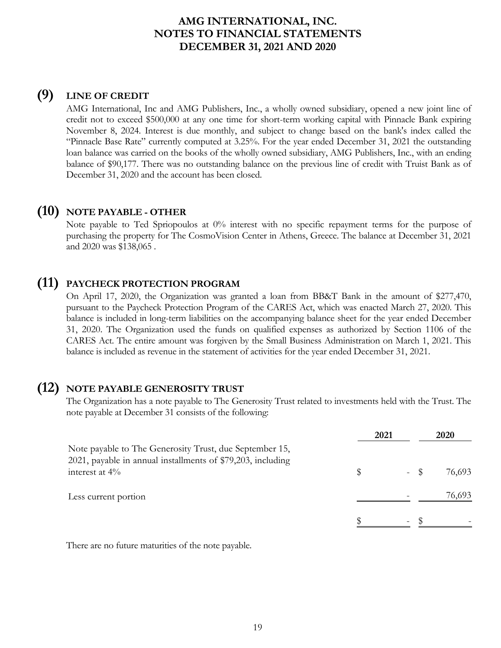## **(9) LINE OF CREDIT**

AMG International, Inc and AMG Publishers, Inc., a wholly owned subsidiary, opened a new joint line of credit not to exceed \$500,000 at any one time for short-term working capital with Pinnacle Bank expiring November 8, 2024. Interest is due monthly, and subject to change based on the bank's index called the "Pinnacle Base Rate" currently computed at 3.25%. For the year ended December 31, 2021 the outstanding loan balance was carried on the books of the wholly owned subsidiary, AMG Publishers, Inc., with an ending balance of \$90,177. There was no outstanding balance on the previous line of credit with Truist Bank as of December 31, 2020 and the account has been closed.

## **(10) NOTE PAYABLE - OTHER**

Note payable to Ted Spriopoulos at 0% interest with no specific repayment terms for the purpose of purchasing the property for The CosmoVision Center in Athens, Greece. The balance at December 31, 2021 and 2020 was \$138,065 .

## **(11) PAYCHECK PROTECTION PROGRAM**

On April 17, 2020, the Organization was granted a loan from BB&T Bank in the amount of \$277,470, pursuant to the Paycheck Protection Program of the CARES Act, which was enacted March 27, 2020. This balance is included in long-term liabilities on the accompanying balance sheet for the year ended December 31, 2020. The Organization used the funds on qualified expenses as authorized by Section 1106 of the CARES Act. The entire amount was forgiven by the Small Business Administration on March 1, 2021. This balance is included as revenue in the statement of activities for the year ended December 31, 2021.

### **(12) NOTE PAYABLE GENEROSITY TRUST**

The Organization has a note payable to The Generosity Trust related to investments held with the Trust. The note payable at December 31 consists of the following:

|                                                                                                                        | 2021 |                          | 2020   |
|------------------------------------------------------------------------------------------------------------------------|------|--------------------------|--------|
| Note payable to The Generosity Trust, due September 15,<br>2021, payable in annual installments of \$79,203, including |      |                          |        |
| interest at $4\%$                                                                                                      |      | $- S$                    | 76,693 |
| Less current portion                                                                                                   |      |                          | 76,693 |
|                                                                                                                        |      | $\overline{\phantom{0}}$ |        |

There are no future maturities of the note payable.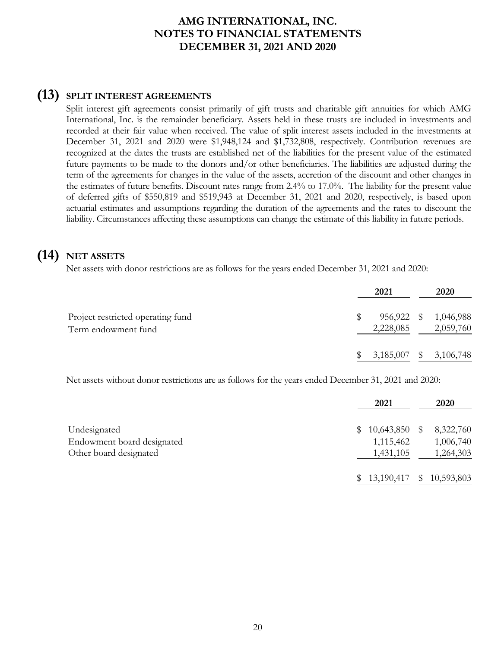## **(13) SPLIT INTEREST AGREEMENTS**

Split interest gift agreements consist primarily of gift trusts and charitable gift annuities for which AMG International, Inc. is the remainder beneficiary. Assets held in these trusts are included in investments and recorded at their fair value when received. The value of split interest assets included in the investments at December 31, 2021 and 2020 were \$1,948,124 and \$1,732,808, respectively. Contribution revenues are recognized at the dates the trusts are established net of the liabilities for the present value of the estimated future payments to be made to the donors and/or other beneficiaries. The liabilities are adjusted during the term of the agreements for changes in the value of the assets, accretion of the discount and other changes in the estimates of future benefits. Discount rates range from 2.4% to 17.0%. The liability for the present value of deferred gifts of \$550,819 and \$519,943 at December 31, 2021 and 2020, respectively, is based upon actuarial estimates and assumptions regarding the duration of the agreements and the rates to discount the liability. Circumstances affecting these assumptions can change the estimate of this liability in future periods.

## **(14) NET ASSETS**

Net assets with donor restrictions are as follows for the years ended December 31, 2021 and 2020:

|                                                          | 2021           | 2020                              |
|----------------------------------------------------------|----------------|-----------------------------------|
| Project restricted operating fund<br>Term endowment fund | 2,228,085      | 956,922 \$ 1,046,988<br>2,059,760 |
|                                                          | $3,185,007$ \$ | 3,106,748                         |

Net assets without donor restrictions are as follows for the years ended December 31, 2021 and 2020:

|                            | 2021                        | 2020      |
|----------------------------|-----------------------------|-----------|
| Undesignated               | $$10,643,850$ \\$           | 8,322,760 |
| Endowment board designated | 1,115,462                   | 1,006,740 |
| Other board designated     | 1,431,105                   | 1,264,303 |
|                            | $$13,190,417$ $$10,593,803$ |           |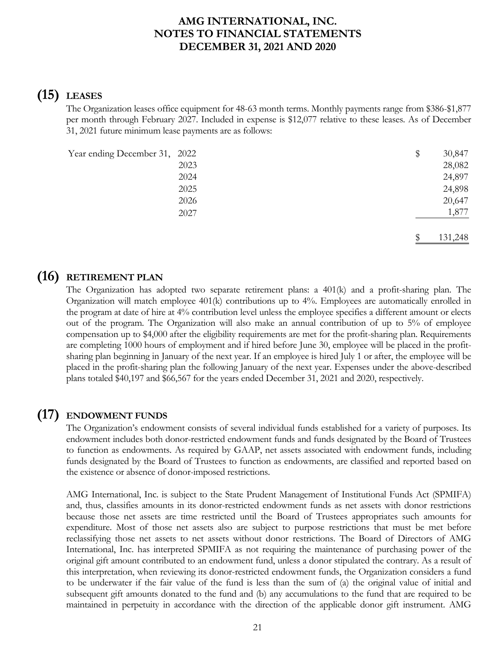## **(15) LEASES**

The Organization leases office equipment for 48-63 month terms. Monthly payments range from \$386-\$1,877 per month through February 2027. Included in expense is \$12,077 relative to these leases. As of December 31, 2021 future minimum lease payments are as follows:

| Year ending December 31, 2022 |      | \$ | 30,847  |
|-------------------------------|------|----|---------|
|                               | 2023 |    | 28,082  |
|                               | 2024 |    | 24,897  |
|                               | 2025 |    | 24,898  |
|                               | 2026 |    | 20,647  |
|                               | 2027 |    | 1,877   |
|                               |      |    | 131,248 |

### **(16) RETIREMENT PLAN**

The Organization has adopted two separate retirement plans: a 401(k) and a profit-sharing plan. The Organization will match employee  $401(k)$  contributions up to  $4\%$ . Employees are automatically enrolled in the program at date of hire at 4% contribution level unless the employee specifies a different amount or elects out of the program. The Organization will also make an annual contribution of up to 5% of employee compensation up to \$4,000 after the eligibility requirements are met for the profit-sharing plan. Requirements are completing 1000 hours of employment and if hired before June 30, employee will be placed in the profitsharing plan beginning in January of the next year. If an employee is hired July 1 or after, the employee will be placed in the profit-sharing plan the following January of the next year. Expenses under the above-described plans totaled \$40,197 and \$66,567 for the years ended December 31, 2021 and 2020, respectively.

## **(17) ENDOWMENT FUNDS**

The Organization's endowment consists of several individual funds established for a variety of purposes. Its endowment includes both donor-restricted endowment funds and funds designated by the Board of Trustees to function as endowments. As required by GAAP, net assets associated with endowment funds, including funds designated by the Board of Trustees to function as endowments, are classified and reported based on the existence or absence of donor-imposed restrictions.

AMG International, Inc. is subject to the State Prudent Management of Institutional Funds Act (SPMIFA) and, thus, classifies amounts in its donor-restricted endowment funds as net assets with donor restrictions because those net assets are time restricted until the Board of Trustees appropriates such amounts for expenditure. Most of those net assets also are subject to purpose restrictions that must be met before reclassifying those net assets to net assets without donor restrictions. The Board of Directors of AMG International, Inc. has interpreted SPMIFA as not requiring the maintenance of purchasing power of the original gift amount contributed to an endowment fund, unless a donor stipulated the contrary. As a result of this interpretation, when reviewing its donor-restricted endowment funds, the Organization considers a fund to be underwater if the fair value of the fund is less than the sum of (a) the original value of initial and subsequent gift amounts donated to the fund and (b) any accumulations to the fund that are required to be maintained in perpetuity in accordance with the direction of the applicable donor gift instrument. AMG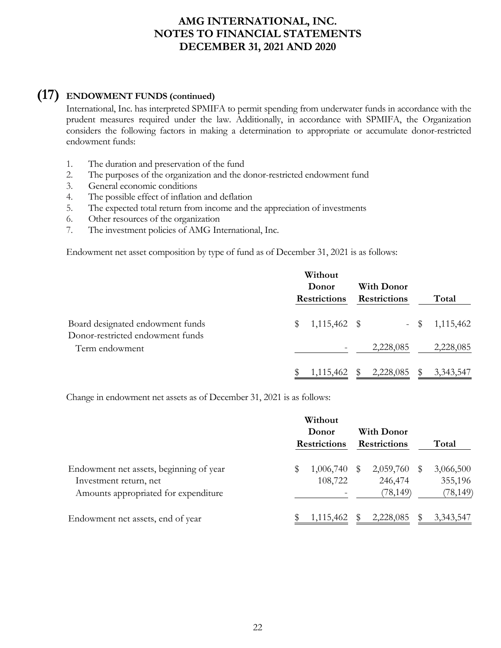## **(17) ENDOWMENT FUNDS (continued)**

International, Inc. has interpreted SPMIFA to permit spending from underwater funds in accordance with the prudent measures required under the law. Additionally, in accordance with SPMIFA, the Organization considers the following factors in making a determination to appropriate or accumulate donor-restricted endowment funds:

- 1. The duration and preservation of the fund
- 2. The purposes of the organization and the donor-restricted endowment fund
- 3. General economic conditions
- 4. The possible effect of inflation and deflation
- 5. The expected total return from income and the appreciation of investments
- 6. Other resources of the organization
- 7. The investment policies of AMG International, Inc.

Endowment net asset composition by type of fund as of December 31, 2021 is as follows:

|                                                                      |   | Without             |                     |                  |
|----------------------------------------------------------------------|---|---------------------|---------------------|------------------|
|                                                                      |   | Donor               | With Donor          |                  |
|                                                                      |   | <b>Restrictions</b> | <b>Restrictions</b> | Total            |
| Board designated endowment funds<br>Donor-restricted endowment funds | S | $1,115,462$ \$      |                     | $-$ \$ 1,115,462 |
| Term endowment                                                       |   |                     | 2,228,085           | 2,228,085        |
|                                                                      |   | 1,115,462           | 2,228,085           | 3, 343, 547      |

Change in endowment net assets as of December 31, 2021 is as follows:

|                                         |       | Without             |   |                     |             |
|-----------------------------------------|-------|---------------------|---|---------------------|-------------|
|                                         | Donor |                     |   | With Donor          |             |
|                                         |       | <b>Restrictions</b> |   | <b>Restrictions</b> | Total       |
| Endowment net assets, beginning of year | \$    | 1,006,740           | Y | 2,059,760           | 3,066,500   |
| Investment return, net                  |       | 108,722             |   | 246,474             | 355,196     |
| Amounts appropriated for expenditure    |       |                     |   | (78,149)            | (78, 149)   |
| Endowment net assets, end of year       |       | 1,115,462           |   | 2,228,085           | 3, 343, 547 |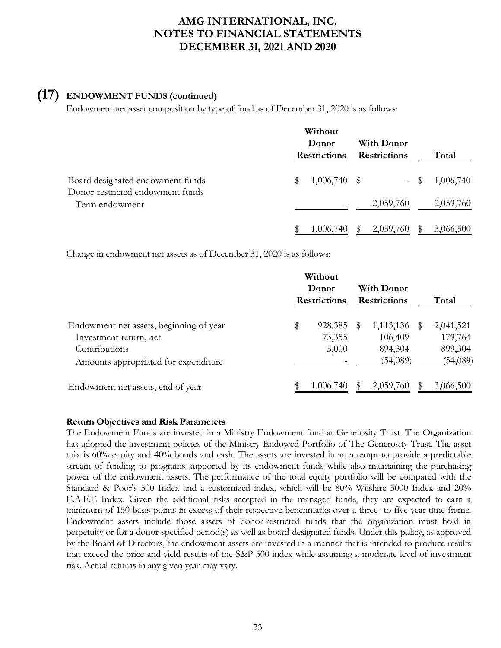## **(17) ENDOWMENT FUNDS (continued)**

Endowment net asset composition by type of fund as of December 31, 2020 is as follows:

|                                                                      | Without<br><b>Restrictions</b> |                | With Donor<br><b>Restrictions</b> |           | Total  |           |
|----------------------------------------------------------------------|--------------------------------|----------------|-----------------------------------|-----------|--------|-----------|
| Board designated endowment funds<br>Donor-restricted endowment funds | S                              | $1,006,740$ \$ |                                   |           | $-$ \$ | 1,006,740 |
| Term endowment                                                       |                                |                |                                   | 2,059,760 |        | 2,059,760 |
|                                                                      |                                | 1,006,740      | S                                 | 2,059,760 |        | 3,066,500 |

Change in endowment net assets as of December 31, 2020 is as follows:

|                                         |       | Without             |   |                     |      |           |
|-----------------------------------------|-------|---------------------|---|---------------------|------|-----------|
|                                         | Donor |                     |   | With Donor          |      |           |
|                                         |       | <b>Restrictions</b> |   | <b>Restrictions</b> |      | Total     |
| Endowment net assets, beginning of year | \$    | 928,385             | S | 1,113,136           | - 56 | 2,041,521 |
| Investment return, net                  |       | 73,355              |   | 106,409             |      | 179,764   |
| Contributions                           |       | 5,000               |   | 894,304             |      | 899,304   |
| Amounts appropriated for expenditure    |       |                     |   | (54,089)            |      | (54,089)  |
| Endowment net assets, end of year       |       | 1,006,740           |   | 2,059,760           |      | 3,066,500 |

### **Return Objectives and Risk Parameters**

The Endowment Funds are invested in a Ministry Endowment fund at Generosity Trust. The Organization has adopted the investment policies of the Ministry Endowed Portfolio of The Generosity Trust. The asset mix is 60% equity and 40% bonds and cash. The assets are invested in an attempt to provide a predictable stream of funding to programs supported by its endowment funds while also maintaining the purchasing power of the endowment assets. The performance of the total equity portfolio will be compared with the Standard & Poor's 500 Index and a customized index, which will be 80% Wilshire 5000 Index and 20% E.A.F.E Index. Given the additional risks accepted in the managed funds, they are expected to earn a minimum of 150 basis points in excess of their respective benchmarks over a three- to five-year time frame. Endowment assets include those assets of donor-restricted funds that the organization must hold in perpetuity or for a donor-specified period(s) as well as board-designated funds. Under this policy, as approved by the Board of Directors, the endowment assets are invested in a manner that is intended to produce results that exceed the price and yield results of the S&P 500 index while assuming a moderate level of investment risk. Actual returns in any given year may vary.